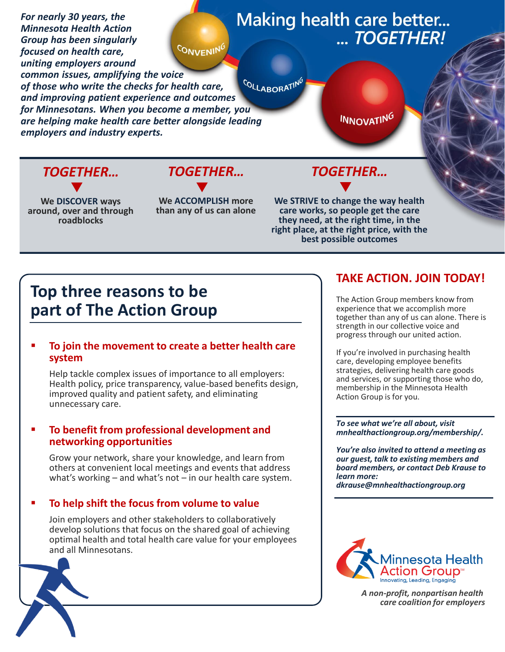

*TOGETHER…*

**We DISCOVER ways around, over and through roadblocks**

**We ACCOMPLISH more than any of us can alone**

**We STRIVE to change the way health care works, so people get the care they need, at the right time, in the right place, at the right price, with the best possible outcomes**

# **Top three reasons to be part of The Action Group**

## **To join the movement to create a better health care system**

Help tackle complex issues of importance to all employers: Health policy, price transparency, value-based benefits design, improved quality and patient safety, and eliminating unnecessary care.

## **To benefit from professional development and networking opportunities**

Grow your network, share your knowledge, and learn from others at convenient local meetings and events that address what's working – and what's not – in our health care system.

## **To help shift the focus from volume to value**

Join employers and other stakeholders to collaboratively develop solutions that focus on the shared goal of achieving optimal health and total health care value for your employees and all Minnesotans.



## **TAKE ACTION. JOIN TODAY!**

The Action Group members know from experience that we accomplish more together than any of us can alone. There is strength in our collective voice and progress through our united action.

If you're involved in purchasing health care, developing employee benefits strategies, delivering health care goods and services, or supporting those who do, membership in the Minnesota Health Action Group is for you.

*To see what we're all about, visit mnhealthactiongroup.org/membership/.* 

*You're also invited to attend a meeting as our guest, talk to existing members and board members, or contact Deb Krause to learn more: dkrause@mnhealthactiongroup.org*



*A non-profit, nonpartisan health care coalition for employers*